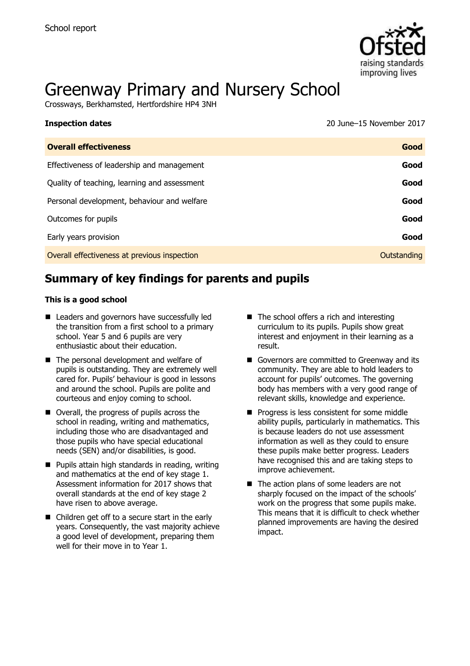

# Greenway Primary and Nursery School

Crossways, Berkhamsted, Hertfordshire HP4 3NH

| <b>Inspection dates</b>                      | 20 June–15 November 2017 |
|----------------------------------------------|--------------------------|
| <b>Overall effectiveness</b>                 | Good                     |
| Effectiveness of leadership and management   | Good                     |
| Quality of teaching, learning and assessment | Good                     |
| Personal development, behaviour and welfare  | Good                     |
| Outcomes for pupils                          | Good                     |
| Early years provision                        | Good                     |
| Overall effectiveness at previous inspection | Outstanding              |
|                                              |                          |

# **Summary of key findings for parents and pupils**

#### **This is a good school**

- Leaders and governors have successfully led the transition from a first school to a primary school. Year 5 and 6 pupils are very enthusiastic about their education.
- The personal development and welfare of pupils is outstanding. They are extremely well cared for. Pupils' behaviour is good in lessons and around the school. Pupils are polite and courteous and enjoy coming to school.
- Overall, the progress of pupils across the school in reading, writing and mathematics, including those who are disadvantaged and those pupils who have special educational needs (SEN) and/or disabilities, is good.
- **Pupils attain high standards in reading, writing** and mathematics at the end of key stage 1. Assessment information for 2017 shows that overall standards at the end of key stage 2 have risen to above average.
- Children get off to a secure start in the early years. Consequently, the vast majority achieve a good level of development, preparing them well for their move in to Year 1.
- The school offers a rich and interesting curriculum to its pupils. Pupils show great interest and enjoyment in their learning as a result.
- Governors are committed to Greenway and its community. They are able to hold leaders to account for pupils' outcomes. The governing body has members with a very good range of relevant skills, knowledge and experience.
- **Progress is less consistent for some middle** ability pupils, particularly in mathematics. This is because leaders do not use assessment information as well as they could to ensure these pupils make better progress. Leaders have recognised this and are taking steps to improve achievement.
- The action plans of some leaders are not sharply focused on the impact of the schools' work on the progress that some pupils make. This means that it is difficult to check whether planned improvements are having the desired impact.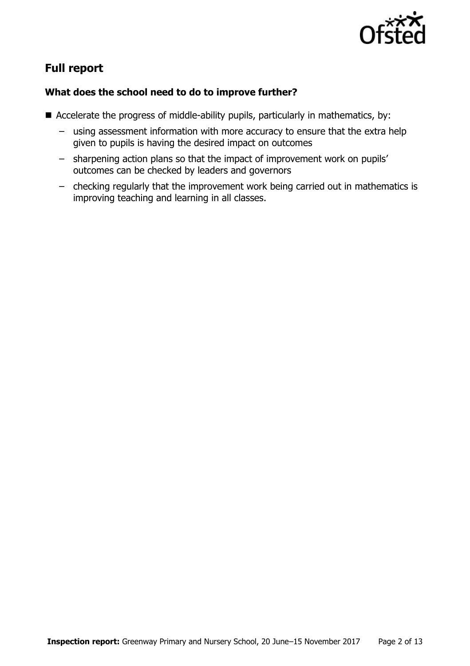

# **Full report**

### **What does the school need to do to improve further?**

- Accelerate the progress of middle-ability pupils, particularly in mathematics, by:
	- using assessment information with more accuracy to ensure that the extra help given to pupils is having the desired impact on outcomes
	- sharpening action plans so that the impact of improvement work on pupils' outcomes can be checked by leaders and governors
	- checking regularly that the improvement work being carried out in mathematics is improving teaching and learning in all classes.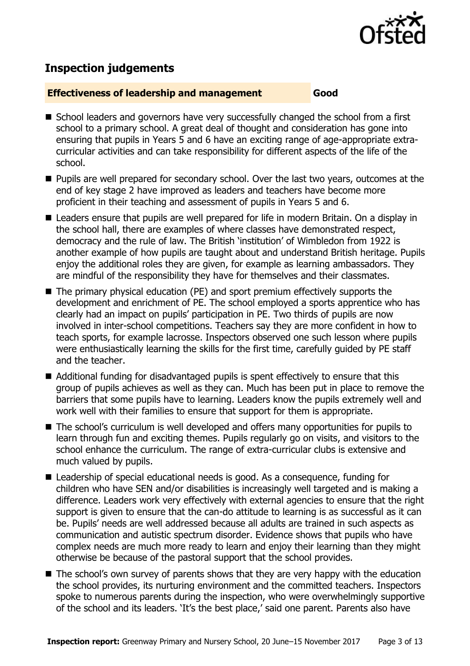

# **Inspection judgements**

#### **Effectiveness of leadership and management Good**

- School leaders and governors have very successfully changed the school from a first school to a primary school. A great deal of thought and consideration has gone into ensuring that pupils in Years 5 and 6 have an exciting range of age-appropriate extracurricular activities and can take responsibility for different aspects of the life of the school.
- **Pupils are well prepared for secondary school. Over the last two vears, outcomes at the** end of key stage 2 have improved as leaders and teachers have become more proficient in their teaching and assessment of pupils in Years 5 and 6.
- Leaders ensure that pupils are well prepared for life in modern Britain. On a display in the school hall, there are examples of where classes have demonstrated respect, democracy and the rule of law. The British 'institution' of Wimbledon from 1922 is another example of how pupils are taught about and understand British heritage. Pupils enjoy the additional roles they are given, for example as learning ambassadors. They are mindful of the responsibility they have for themselves and their classmates.
- The primary physical education (PE) and sport premium effectively supports the development and enrichment of PE. The school employed a sports apprentice who has clearly had an impact on pupils' participation in PE. Two thirds of pupils are now involved in inter-school competitions. Teachers say they are more confident in how to teach sports, for example lacrosse. Inspectors observed one such lesson where pupils were enthusiastically learning the skills for the first time, carefully guided by PE staff and the teacher.
- Additional funding for disadvantaged pupils is spent effectively to ensure that this group of pupils achieves as well as they can. Much has been put in place to remove the barriers that some pupils have to learning. Leaders know the pupils extremely well and work well with their families to ensure that support for them is appropriate.
- The school's curriculum is well developed and offers many opportunities for pupils to learn through fun and exciting themes. Pupils regularly go on visits, and visitors to the school enhance the curriculum. The range of extra-curricular clubs is extensive and much valued by pupils.
- Leadership of special educational needs is good. As a consequence, funding for children who have SEN and/or disabilities is increasingly well targeted and is making a difference. Leaders work very effectively with external agencies to ensure that the right support is given to ensure that the can-do attitude to learning is as successful as it can be. Pupils' needs are well addressed because all adults are trained in such aspects as communication and autistic spectrum disorder. Evidence shows that pupils who have complex needs are much more ready to learn and enjoy their learning than they might otherwise be because of the pastoral support that the school provides.
- The school's own survey of parents shows that they are very happy with the education the school provides, its nurturing environment and the committed teachers. Inspectors spoke to numerous parents during the inspection, who were overwhelmingly supportive of the school and its leaders. 'It's the best place,' said one parent. Parents also have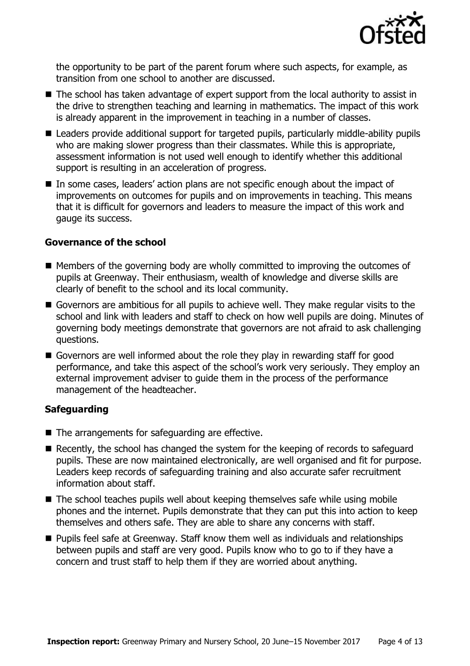

the opportunity to be part of the parent forum where such aspects, for example, as transition from one school to another are discussed.

- The school has taken advantage of expert support from the local authority to assist in the drive to strengthen teaching and learning in mathematics. The impact of this work is already apparent in the improvement in teaching in a number of classes.
- Leaders provide additional support for targeted pupils, particularly middle-ability pupils who are making slower progress than their classmates. While this is appropriate, assessment information is not used well enough to identify whether this additional support is resulting in an acceleration of progress.
- In some cases, leaders' action plans are not specific enough about the impact of improvements on outcomes for pupils and on improvements in teaching. This means that it is difficult for governors and leaders to measure the impact of this work and gauge its success.

### **Governance of the school**

- $\blacksquare$  Members of the governing body are wholly committed to improving the outcomes of pupils at Greenway. Their enthusiasm, wealth of knowledge and diverse skills are clearly of benefit to the school and its local community.
- Governors are ambitious for all pupils to achieve well. They make regular visits to the school and link with leaders and staff to check on how well pupils are doing. Minutes of governing body meetings demonstrate that governors are not afraid to ask challenging questions.
- Governors are well informed about the role they play in rewarding staff for good performance, and take this aspect of the school's work very seriously. They employ an external improvement adviser to guide them in the process of the performance management of the headteacher.

### **Safeguarding**

- The arrangements for safeguarding are effective.
- Recently, the school has changed the system for the keeping of records to safeguard pupils. These are now maintained electronically, are well organised and fit for purpose. Leaders keep records of safeguarding training and also accurate safer recruitment information about staff.
- The school teaches pupils well about keeping themselves safe while using mobile phones and the internet. Pupils demonstrate that they can put this into action to keep themselves and others safe. They are able to share any concerns with staff.
- Pupils feel safe at Greenway. Staff know them well as individuals and relationships between pupils and staff are very good. Pupils know who to go to if they have a concern and trust staff to help them if they are worried about anything.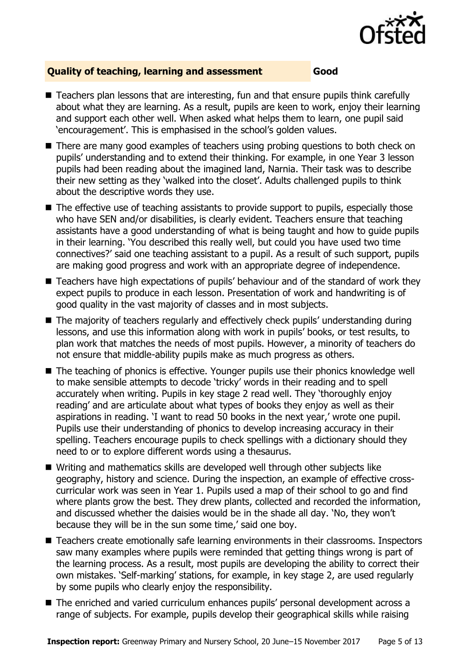

#### **Quality of teaching, learning and assessment Good**

- Teachers plan lessons that are interesting, fun and that ensure pupils think carefully about what they are learning. As a result, pupils are keen to work, enjoy their learning and support each other well. When asked what helps them to learn, one pupil said 'encouragement'. This is emphasised in the school's golden values.
- There are many good examples of teachers using probing questions to both check on pupils' understanding and to extend their thinking. For example, in one Year 3 lesson pupils had been reading about the imagined land, Narnia. Their task was to describe their new setting as they 'walked into the closet'. Adults challenged pupils to think about the descriptive words they use.
- The effective use of teaching assistants to provide support to pupils, especially those who have SEN and/or disabilities, is clearly evident. Teachers ensure that teaching assistants have a good understanding of what is being taught and how to guide pupils in their learning. 'You described this really well, but could you have used two time connectives?' said one teaching assistant to a pupil. As a result of such support, pupils are making good progress and work with an appropriate degree of independence.
- Teachers have high expectations of pupils' behaviour and of the standard of work they expect pupils to produce in each lesson. Presentation of work and handwriting is of good quality in the vast majority of classes and in most subjects.
- The majority of teachers regularly and effectively check pupils' understanding during lessons, and use this information along with work in pupils' books, or test results, to plan work that matches the needs of most pupils. However, a minority of teachers do not ensure that middle-ability pupils make as much progress as others.
- The teaching of phonics is effective. Younger pupils use their phonics knowledge well to make sensible attempts to decode 'tricky' words in their reading and to spell accurately when writing. Pupils in key stage 2 read well. They 'thoroughly enjoy reading' and are articulate about what types of books they enjoy as well as their aspirations in reading. 'I want to read 50 books in the next year,' wrote one pupil. Pupils use their understanding of phonics to develop increasing accuracy in their spelling. Teachers encourage pupils to check spellings with a dictionary should they need to or to explore different words using a thesaurus.
- Writing and mathematics skills are developed well through other subjects like geography, history and science. During the inspection, an example of effective crosscurricular work was seen in Year 1. Pupils used a map of their school to go and find where plants grow the best. They drew plants, collected and recorded the information, and discussed whether the daisies would be in the shade all day. 'No, they won't because they will be in the sun some time,' said one boy.
- Teachers create emotionally safe learning environments in their classrooms. Inspectors saw many examples where pupils were reminded that getting things wrong is part of the learning process. As a result, most pupils are developing the ability to correct their own mistakes. 'Self-marking' stations, for example, in key stage 2, are used regularly by some pupils who clearly enjoy the responsibility.
- The enriched and varied curriculum enhances pupils' personal development across a range of subjects. For example, pupils develop their geographical skills while raising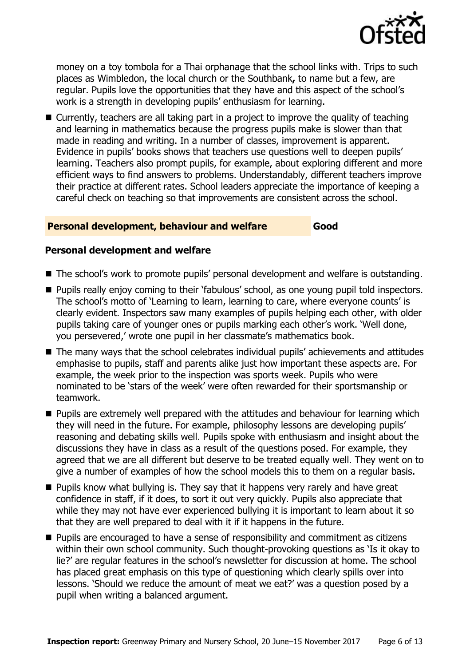

money on a toy tombola for a Thai orphanage that the school links with. Trips to such places as Wimbledon, the local church or the Southbank**,** to name but a few, are regular. Pupils love the opportunities that they have and this aspect of the school's work is a strength in developing pupils' enthusiasm for learning.

■ Currently, teachers are all taking part in a project to improve the quality of teaching and learning in mathematics because the progress pupils make is slower than that made in reading and writing. In a number of classes, improvement is apparent. Evidence in pupils' books shows that teachers use questions well to deepen pupils' learning. Teachers also prompt pupils, for example, about exploring different and more efficient ways to find answers to problems. Understandably, different teachers improve their practice at different rates. School leaders appreciate the importance of keeping a careful check on teaching so that improvements are consistent across the school.

#### **Personal development, behaviour and welfare Good**

#### **Personal development and welfare**

- The school's work to promote pupils' personal development and welfare is outstanding.
- **Pupils really enjoy coming to their 'fabulous' school, as one young pupil told inspectors.** The school's motto of 'Learning to learn, learning to care, where everyone counts' is clearly evident. Inspectors saw many examples of pupils helping each other, with older pupils taking care of younger ones or pupils marking each other's work. 'Well done, you persevered,' wrote one pupil in her classmate's mathematics book.
- The many ways that the school celebrates individual pupils' achievements and attitudes emphasise to pupils, staff and parents alike just how important these aspects are. For example, the week prior to the inspection was sports week. Pupils who were nominated to be 'stars of the week' were often rewarded for their sportsmanship or teamwork.
- **Pupils are extremely well prepared with the attitudes and behaviour for learning which** they will need in the future. For example, philosophy lessons are developing pupils' reasoning and debating skills well. Pupils spoke with enthusiasm and insight about the discussions they have in class as a result of the questions posed. For example, they agreed that we are all different but deserve to be treated equally well. They went on to give a number of examples of how the school models this to them on a regular basis.
- $\blacksquare$  Pupils know what bullying is. They say that it happens very rarely and have great confidence in staff, if it does, to sort it out very quickly. Pupils also appreciate that while they may not have ever experienced bullying it is important to learn about it so that they are well prepared to deal with it if it happens in the future.
- **Pupils are encouraged to have a sense of responsibility and commitment as citizens** within their own school community. Such thought-provoking questions as 'Is it okay to lie?' are regular features in the school's newsletter for discussion at home. The school has placed great emphasis on this type of questioning which clearly spills over into lessons. 'Should we reduce the amount of meat we eat?' was a question posed by a pupil when writing a balanced argument.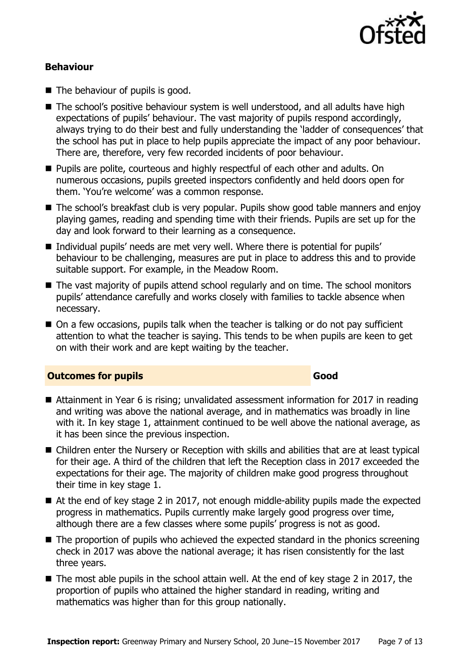

#### **Behaviour**

- $\blacksquare$  The behaviour of pupils is good.
- The school's positive behaviour system is well understood, and all adults have high expectations of pupils' behaviour. The vast majority of pupils respond accordingly, always trying to do their best and fully understanding the 'ladder of consequences' that the school has put in place to help pupils appreciate the impact of any poor behaviour. There are, therefore, very few recorded incidents of poor behaviour.
- **Pupils are polite, courteous and highly respectful of each other and adults. On** numerous occasions, pupils greeted inspectors confidently and held doors open for them. 'You're welcome' was a common response.
- The school's breakfast club is very popular. Pupils show good table manners and enjoy playing games, reading and spending time with their friends. Pupils are set up for the day and look forward to their learning as a consequence.
- Individual pupils' needs are met very well. Where there is potential for pupils' behaviour to be challenging, measures are put in place to address this and to provide suitable support. For example, in the Meadow Room.
- The vast majority of pupils attend school regularly and on time. The school monitors pupils' attendance carefully and works closely with families to tackle absence when necessary.
- On a few occasions, pupils talk when the teacher is talking or do not pay sufficient attention to what the teacher is saying. This tends to be when pupils are keen to get on with their work and are kept waiting by the teacher.

#### **Outcomes for pupils Good Good**

- Attainment in Year 6 is rising; unvalidated assessment information for 2017 in reading and writing was above the national average, and in mathematics was broadly in line with it. In key stage 1, attainment continued to be well above the national average, as it has been since the previous inspection.
- Children enter the Nursery or Reception with skills and abilities that are at least typical for their age. A third of the children that left the Reception class in 2017 exceeded the expectations for their age. The majority of children make good progress throughout their time in key stage 1.
- At the end of key stage 2 in 2017, not enough middle-ability pupils made the expected progress in mathematics. Pupils currently make largely good progress over time, although there are a few classes where some pupils' progress is not as good.
- The proportion of pupils who achieved the expected standard in the phonics screening check in 2017 was above the national average; it has risen consistently for the last three years.
- $\blacksquare$  The most able pupils in the school attain well. At the end of key stage 2 in 2017, the proportion of pupils who attained the higher standard in reading, writing and mathematics was higher than for this group nationally.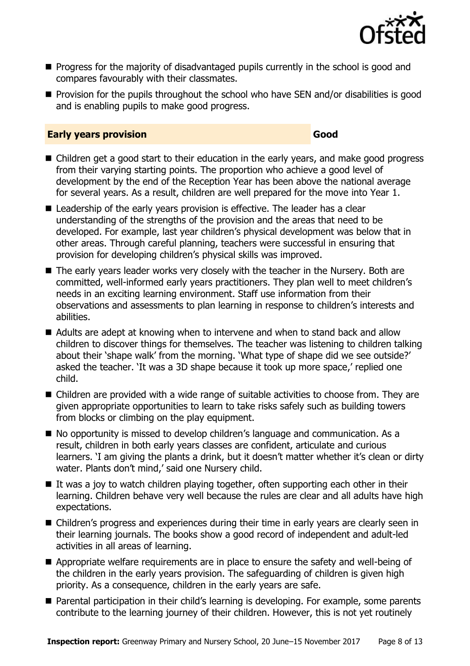

- **Progress for the majority of disadvantaged pupils currently in the school is good and** compares favourably with their classmates.
- $\blacksquare$  Provision for the pupils throughout the school who have SEN and/or disabilities is good and is enabling pupils to make good progress.

#### **Early years provision Good Good**

- Children get a good start to their education in the early years, and make good progress from their varying starting points. The proportion who achieve a good level of development by the end of the Reception Year has been above the national average for several years. As a result, children are well prepared for the move into Year 1.
- Leadership of the early years provision is effective. The leader has a clear understanding of the strengths of the provision and the areas that need to be developed. For example, last year children's physical development was below that in other areas. Through careful planning, teachers were successful in ensuring that provision for developing children's physical skills was improved.
- The early years leader works very closely with the teacher in the Nursery. Both are committed, well-informed early years practitioners. They plan well to meet children's needs in an exciting learning environment. Staff use information from their observations and assessments to plan learning in response to children's interests and abilities.
- Adults are adept at knowing when to intervene and when to stand back and allow children to discover things for themselves. The teacher was listening to children talking about their 'shape walk' from the morning. 'What type of shape did we see outside?' asked the teacher. 'It was a 3D shape because it took up more space,' replied one child.
- Children are provided with a wide range of suitable activities to choose from. They are given appropriate opportunities to learn to take risks safely such as building towers from blocks or climbing on the play equipment.
- No opportunity is missed to develop children's language and communication. As a result, children in both early years classes are confident, articulate and curious learners. 'I am giving the plants a drink, but it doesn't matter whether it's clean or dirty water. Plants don't mind,' said one Nursery child.
- If was a joy to watch children playing together, often supporting each other in their learning. Children behave very well because the rules are clear and all adults have high expectations.
- Children's progress and experiences during their time in early years are clearly seen in their learning journals. The books show a good record of independent and adult-led activities in all areas of learning.
- Appropriate welfare requirements are in place to ensure the safety and well-being of the children in the early years provision. The safeguarding of children is given high priority. As a consequence, children in the early years are safe.
- Parental participation in their child's learning is developing. For example, some parents contribute to the learning journey of their children. However, this is not yet routinely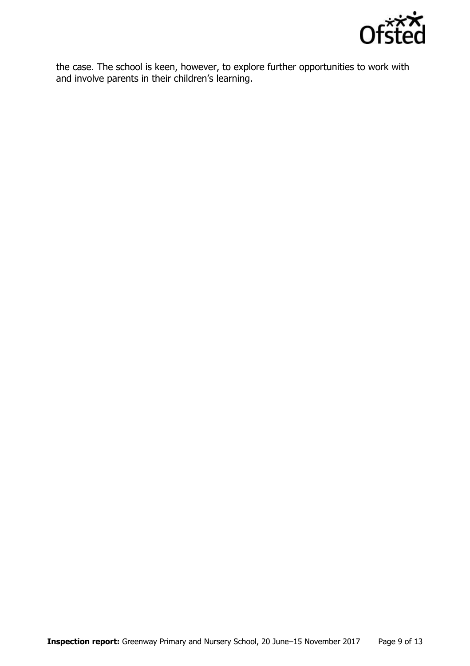

the case. The school is keen, however, to explore further opportunities to work with and involve parents in their children's learning.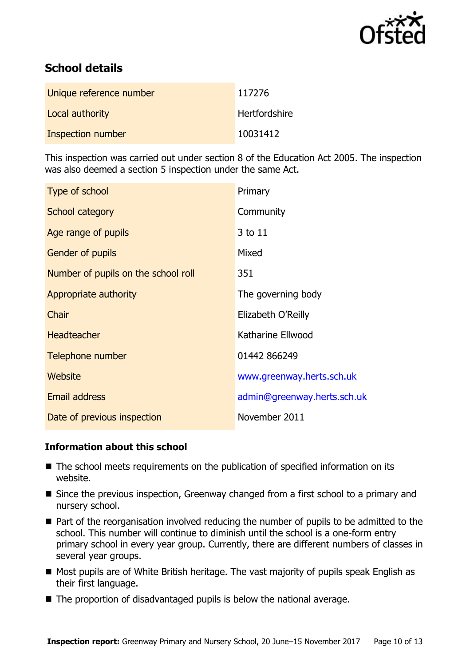

# **School details**

| Unique reference number | 117276               |
|-------------------------|----------------------|
| Local authority         | <b>Hertfordshire</b> |
| Inspection number       | 10031412             |

This inspection was carried out under section 8 of the Education Act 2005. The inspection was also deemed a section 5 inspection under the same Act.

| Type of school                      | Primary                     |
|-------------------------------------|-----------------------------|
| School category                     | Community                   |
| Age range of pupils                 | 3 to 11                     |
| Gender of pupils                    | Mixed                       |
| Number of pupils on the school roll | 351                         |
| Appropriate authority               | The governing body          |
| Chair                               | Elizabeth O'Reilly          |
| <b>Headteacher</b>                  | Katharine Ellwood           |
| Telephone number                    | 01442 866249                |
| Website                             | www.greenway.herts.sch.uk   |
| <b>Email address</b>                | admin@greenway.herts.sch.uk |
| Date of previous inspection         | November 2011               |

### **Information about this school**

- The school meets requirements on the publication of specified information on its website.
- Since the previous inspection, Greenway changed from a first school to a primary and nursery school.
- Part of the reorganisation involved reducing the number of pupils to be admitted to the school. This number will continue to diminish until the school is a one-form entry primary school in every year group. Currently, there are different numbers of classes in several year groups.
- Most pupils are of White British heritage. The vast majority of pupils speak English as their first language.
- The proportion of disadvantaged pupils is below the national average.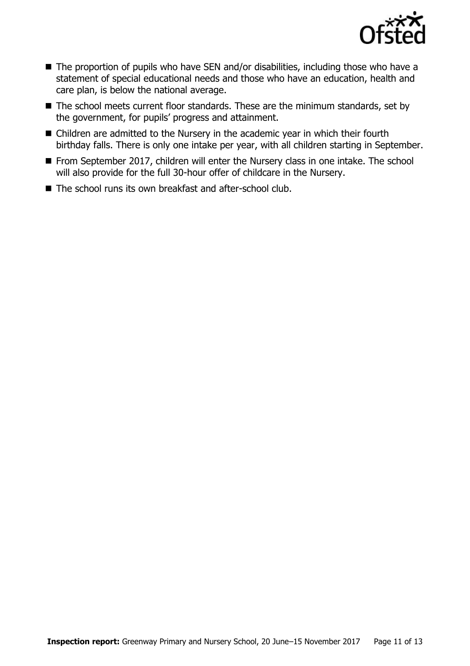

- The proportion of pupils who have SEN and/or disabilities, including those who have a statement of special educational needs and those who have an education, health and care plan, is below the national average.
- The school meets current floor standards. These are the minimum standards, set by the government, for pupils' progress and attainment.
- Children are admitted to the Nursery in the academic year in which their fourth birthday falls. There is only one intake per year, with all children starting in September.
- From September 2017, children will enter the Nursery class in one intake. The school will also provide for the full 30-hour offer of childcare in the Nursery.
- The school runs its own breakfast and after-school club.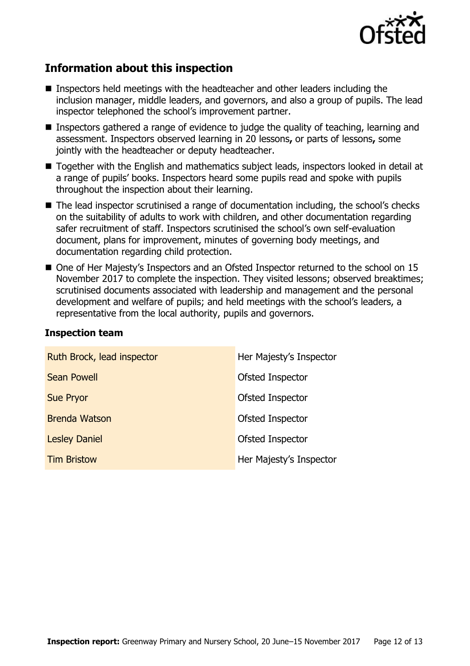

# **Information about this inspection**

- Inspectors held meetings with the headteacher and other leaders including the inclusion manager, middle leaders, and governors, and also a group of pupils. The lead inspector telephoned the school's improvement partner.
- Inspectors gathered a range of evidence to judge the quality of teaching, learning and assessment. Inspectors observed learning in 20 lessons**,** or parts of lessons**,** some jointly with the headteacher or deputy headteacher.
- Together with the English and mathematics subject leads, inspectors looked in detail at a range of pupils' books. Inspectors heard some pupils read and spoke with pupils throughout the inspection about their learning.
- The lead inspector scrutinised a range of documentation including, the school's checks on the suitability of adults to work with children, and other documentation regarding safer recruitment of staff. Inspectors scrutinised the school's own self-evaluation document, plans for improvement, minutes of governing body meetings, and documentation regarding child protection.
- One of Her Majesty's Inspectors and an Ofsted Inspector returned to the school on 15 November 2017 to complete the inspection. They visited lessons; observed breaktimes; scrutinised documents associated with leadership and management and the personal development and welfare of pupils; and held meetings with the school's leaders, a representative from the local authority, pupils and governors.

| Ruth Brock, lead inspector | Her Majesty's Inspector |
|----------------------------|-------------------------|
| <b>Sean Powell</b>         | Ofsted Inspector        |
| <b>Sue Pryor</b>           | Ofsted Inspector        |
| <b>Brenda Watson</b>       | Ofsted Inspector        |
| <b>Lesley Daniel</b>       | Ofsted Inspector        |
| <b>Tim Bristow</b>         | Her Majesty's Inspector |

#### **Inspection team**